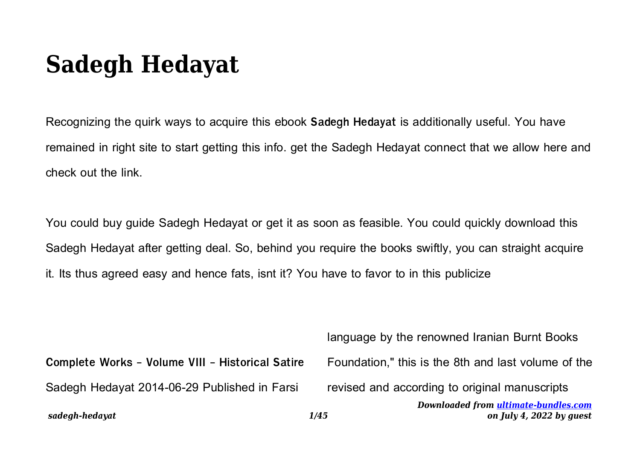## **Sadegh Hedayat**

Recognizing the quirk ways to acquire this ebook **Sadegh Hedayat** is additionally useful. You have remained in right site to start getting this info. get the Sadegh Hedayat connect that we allow here and check out the link.

You could buy guide Sadegh Hedayat or get it as soon as feasible. You could quickly download this Sadegh Hedayat after getting deal. So, behind you require the books swiftly, you can straight acquire it. Its thus agreed easy and hence fats, isnt it? You have to favor to in this publicize

| sadegh-hedayat                                   | Downloaded from ultimate-bundles.com<br>on July 4, 2022 by quest<br>1/45 |
|--------------------------------------------------|--------------------------------------------------------------------------|
| Sadegh Hedayat 2014-06-29 Published in Farsi     | revised and according to original manuscripts                            |
| Complete Works - Volume VIII - Historical Satire | Foundation," this is the 8th and last volume of the                      |
|                                                  | language by the renowned Iranian Burnt Books                             |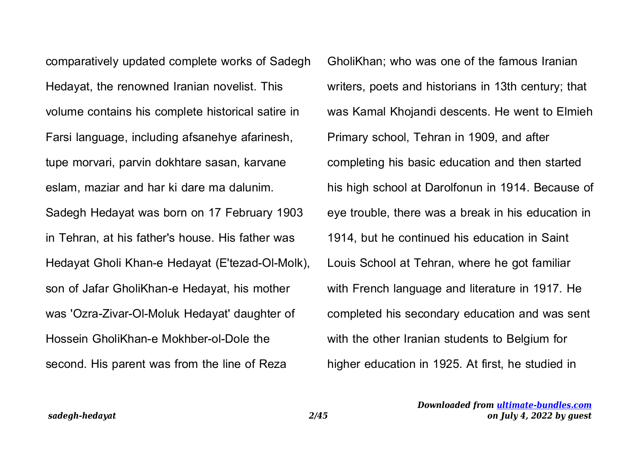comparatively updated complete works of Sadegh Hedayat, the renowned Iranian novelist. This volume contains his complete historical satire in Farsi language, including afsanehye afarinesh, tupe morvari, parvin dokhtare sasan, karvane eslam, maziar and har ki dare ma dalunim. Sadegh Hedayat was born on 17 February 1903 in Tehran, at his father's house. His father was Hedayat Gholi Khan-e Hedayat (E'tezad-Ol-Molk), son of Jafar GholiKhan-e Hedayat, his mother was 'Ozra-Zivar-Ol-Moluk Hedayat' daughter of Hossein GholiKhan-e Mokhber-ol-Dole the second. His parent was from the line of Reza

GholiKhan; who was one of the famous Iranian writers, poets and historians in 13th century; that was Kamal Khojandi descents. He went to Elmieh Primary school, Tehran in 1909, and after completing his basic education and then started his high school at Darolfonun in 1914. Because of eye trouble, there was a break in his education in 1914, but he continued his education in Saint Louis School at Tehran, where he got familiar with French language and literature in 1917. He completed his secondary education and was sent with the other Iranian students to Belgium for higher education in 1925. At first, he studied in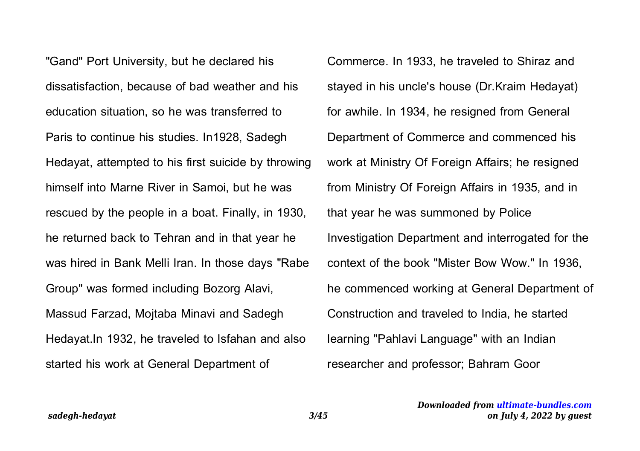"Gand" Port University, but he declared his dissatisfaction, because of bad weather and his education situation, so he was transferred to Paris to continue his studies. In1928, Sadegh Hedayat, attempted to his first suicide by throwing himself into Marne River in Samoi, but he was rescued by the people in a boat. Finally, in 1930, he returned back to Tehran and in that year he was hired in Bank Melli Iran. In those days "Rabe Group" was formed including Bozorg Alavi, Massud Farzad, Mojtaba Minavi and Sadegh Hedayat.In 1932, he traveled to Isfahan and also started his work at General Department of

Commerce. In 1933, he traveled to Shiraz and stayed in his uncle's house (Dr.Kraim Hedayat) for awhile. In 1934, he resigned from General Department of Commerce and commenced his work at Ministry Of Foreign Affairs; he resigned from Ministry Of Foreign Affairs in 1935, and in that year he was summoned by Police Investigation Department and interrogated for the context of the book "Mister Bow Wow." In 1936, he commenced working at General Department of Construction and traveled to India, he started learning "Pahlavi Language" with an Indian researcher and professor; Bahram Goor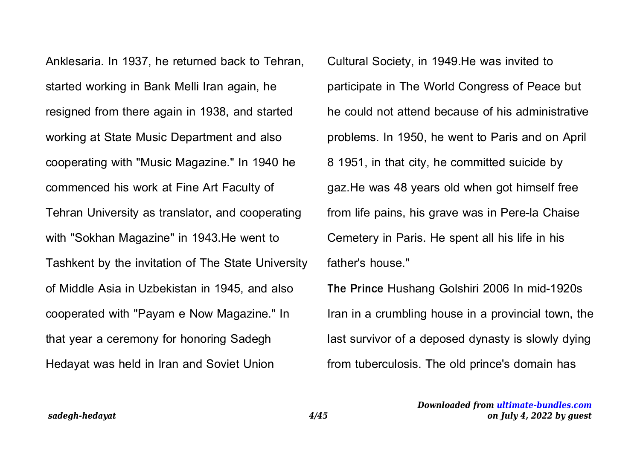Anklesaria. In 1937, he returned back to Tehran, started working in Bank Melli Iran again, he resigned from there again in 1938, and started working at State Music Department and also cooperating with "Music Magazine." In 1940 he commenced his work at Fine Art Faculty of Tehran University as translator, and cooperating with "Sokhan Magazine" in 1943.He went to Tashkent by the invitation of The State University of Middle Asia in Uzbekistan in 1945, and also cooperated with "Payam e Now Magazine." In that year a ceremony for honoring Sadegh Hedayat was held in Iran and Soviet Union

Cultural Society, in 1949.He was invited to participate in The World Congress of Peace but he could not attend because of his administrative problems. In 1950, he went to Paris and on April 8 1951, in that city, he committed suicide by gaz.He was 48 years old when got himself free from life pains, his grave was in Pere-la Chaise Cemetery in Paris. He spent all his life in his father's house."

**The Prince** Hushang Golshiri 2006 In mid-1920s Iran in a crumbling house in a provincial town, the last survivor of a deposed dynasty is slowly dying from tuberculosis. The old prince's domain has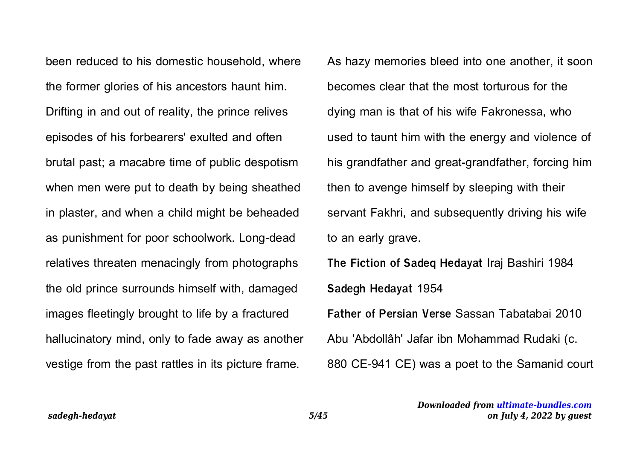been reduced to his domestic household, where the former glories of his ancestors haunt him. Drifting in and out of reality, the prince relives episodes of his forbearers' exulted and often brutal past; a macabre time of public despotism when men were put to death by being sheathed in plaster, and when a child might be beheaded as punishment for poor schoolwork. Long-dead relatives threaten menacingly from photographs the old prince surrounds himself with, damaged images fleetingly brought to life by a fractured hallucinatory mind, only to fade away as another vestige from the past rattles in its picture frame.

As hazy memories bleed into one another, it soon becomes clear that the most torturous for the dying man is that of his wife Fakronessa, who used to taunt him with the energy and violence of his grandfather and great-grandfather, forcing him then to avenge himself by sleeping with their servant Fakhri, and subsequently driving his wife to an early grave. **The Fiction of Sadeq Hedayat** Iraj Bashiri 1984 **Sadegh Hedayat** 1954 **Father of Persian Verse** Sassan Tabatabai 2010

Abu 'Abdollâh' Jafar ibn Mohammad Rudaki (c.

880 CE-941 CE) was a poet to the Samanid court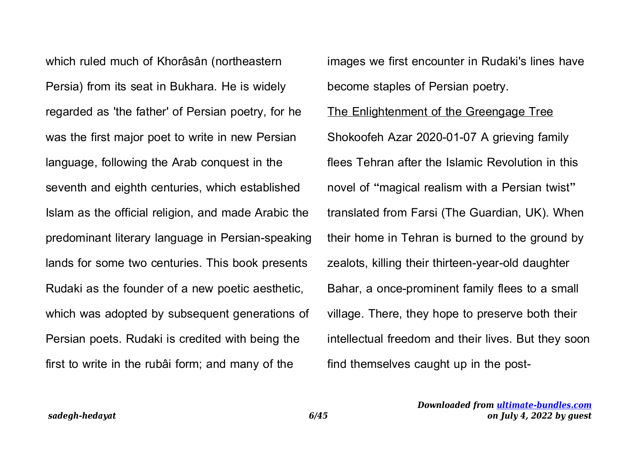which ruled much of Khorâsân (northeastern Persia) from its seat in Bukhara. He is widely regarded as 'the father' of Persian poetry, for he was the first major poet to write in new Persian language, following the Arab conquest in the seventh and eighth centuries, which established Islam as the official religion, and made Arabic the predominant literary language in Persian-speaking lands for some two centuries. This book presents Rudaki as the founder of a new poetic aesthetic, which was adopted by subsequent generations of Persian poets. Rudaki is credited with being the first to write in the rubâi form; and many of the

images we first encounter in Rudaki's lines have become staples of Persian poetry. The Enlightenment of the Greengage Tree Shokoofeh Azar 2020-01-07 A grieving family flees Tehran after the Islamic Revolution in this novel of "magical realism with a Persian twist" translated from Farsi (The Guardian, UK). When their home in Tehran is burned to the ground by zealots, killing their thirteen-year-old daughter Bahar, a once-prominent family flees to a small village. There, they hope to preserve both their intellectual freedom and their lives. But they soon find themselves caught up in the post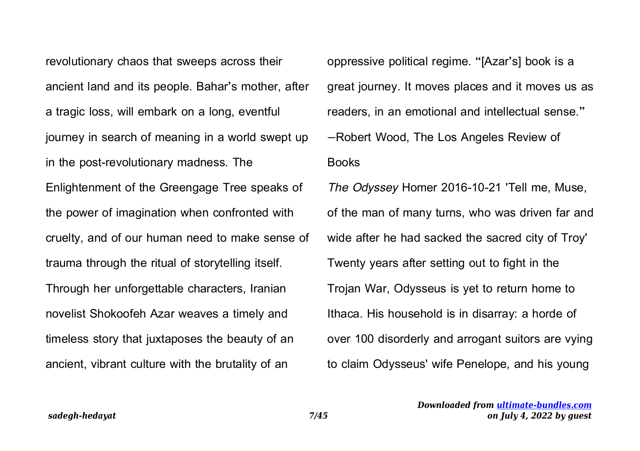revolutionary chaos that sweeps across their ancient land and its people. Bahar's mother, after a tragic loss, will embark on a long, eventful journey in search of meaning in a world swept up in the post-revolutionary madness. The Enlightenment of the Greengage Tree speaks of the power of imagination when confronted with cruelty, and of our human need to make sense of trauma through the ritual of storytelling itself. Through her unforgettable characters, Iranian novelist Shokoofeh Azar weaves a timely and timeless story that juxtaposes the beauty of an ancient, vibrant culture with the brutality of an

oppressive political regime. "[Azar's] book is a great journey. It moves places and it moves us as readers, in an emotional and intellectual sense." —Robert Wood, The Los Angeles Review of Books The Odyssey Homer 2016-10-21 'Tell me, Muse, of the man of many turns, who was driven far and wide after he had sacked the sacred city of Troy' Twenty years after setting out to fight in the Trojan War, Odysseus is yet to return home to Ithaca. His household is in disarray: a horde of over 100 disorderly and arrogant suitors are vying to claim Odysseus' wife Penelope, and his young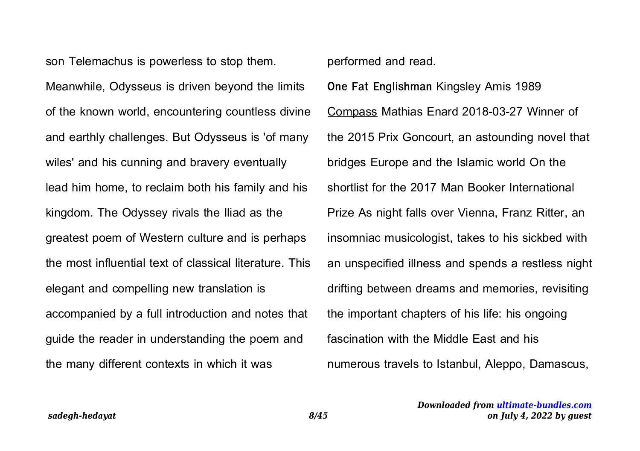son Telemachus is powerless to stop them.

Meanwhile, Odysseus is driven beyond the limits of the known world, encountering countless divine and earthly challenges. But Odysseus is 'of many wiles' and his cunning and bravery eventually lead him home, to reclaim both his family and his kingdom. The Odyssey rivals the Iliad as the greatest poem of Western culture and is perhaps the most influential text of classical literature. This elegant and compelling new translation is accompanied by a full introduction and notes that guide the reader in understanding the poem and the many different contexts in which it was

## performed and read.

**One Fat Englishman** Kingsley Amis 1989 Compass Mathias Enard 2018-03-27 Winner of the 2015 Prix Goncourt, an astounding novel that bridges Europe and the Islamic world On the shortlist for the 2017 Man Booker International Prize As night falls over Vienna, Franz Ritter, an insomniac musicologist, takes to his sickbed with an unspecified illness and spends a restless night drifting between dreams and memories, revisiting the important chapters of his life: his ongoing fascination with the Middle East and his numerous travels to Istanbul, Aleppo, Damascus,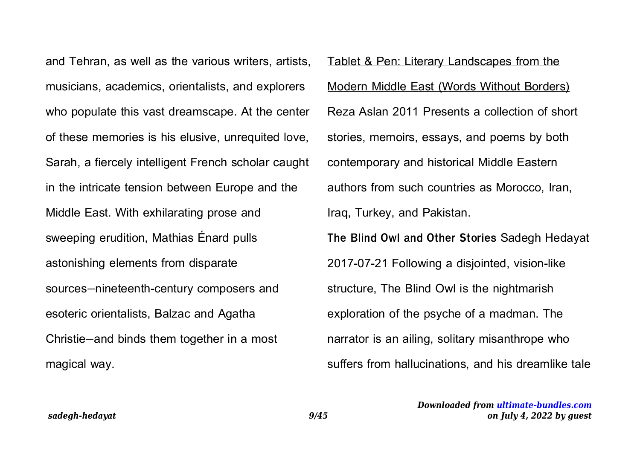and Tehran, as well as the various writers, artists, musicians, academics, orientalists, and explorers who populate this vast dreamscape. At the center of these memories is his elusive, unrequited love, Sarah, a fiercely intelligent French scholar caught in the intricate tension between Europe and the Middle East. With exhilarating prose and sweeping erudition, Mathias Énard pulls astonishing elements from disparate sources—nineteenth-century composers and esoteric orientalists, Balzac and Agatha Christie—and binds them together in a most magical way.

Tablet & Pen: Literary Landscapes from the Modern Middle East (Words Without Borders) Reza Aslan 2011 Presents a collection of short stories, memoirs, essays, and poems by both contemporary and historical Middle Eastern authors from such countries as Morocco, Iran, Iraq, Turkey, and Pakistan. **The Blind Owl and Other Stories** Sadegh Hedayat 2017-07-21 Following a disjointed, vision-like structure, The Blind Owl is the nightmarish exploration of the psyche of a madman. The narrator is an ailing, solitary misanthrope who suffers from hallucinations, and his dreamlike tale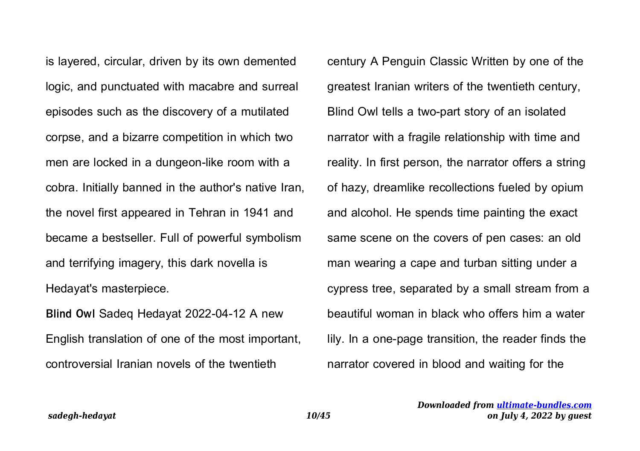is layered, circular, driven by its own demented logic, and punctuated with macabre and surreal episodes such as the discovery of a mutilated corpse, and a bizarre competition in which two men are locked in a dungeon-like room with a cobra. Initially banned in the author's native Iran, the novel first appeared in Tehran in 1941 and became a bestseller. Full of powerful symbolism and terrifying imagery, this dark novella is Hedayat's masterpiece.

**Blind Owl** Sadeq Hedayat 2022-04-12 A new English translation of one of the most important, controversial Iranian novels of the twentieth

century A Penguin Classic Written by one of the greatest Iranian writers of the twentieth century, Blind Owl tells a two-part story of an isolated narrator with a fragile relationship with time and reality. In first person, the narrator offers a string of hazy, dreamlike recollections fueled by opium and alcohol. He spends time painting the exact same scene on the covers of pen cases: an old man wearing a cape and turban sitting under a cypress tree, separated by a small stream from a beautiful woman in black who offers him a water lily. In a one-page transition, the reader finds the narrator covered in blood and waiting for the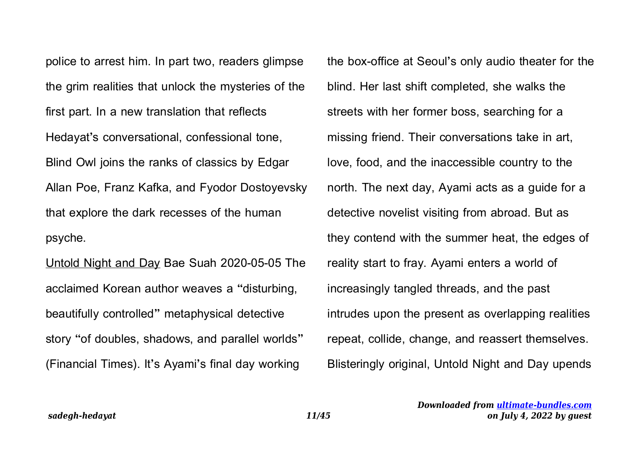police to arrest him. In part two, readers glimpse the grim realities that unlock the mysteries of the first part. In a new translation that reflects Hedayat's conversational, confessional tone, Blind Owl joins the ranks of classics by Edgar Allan Poe, Franz Kafka, and Fyodor Dostoyevsky that explore the dark recesses of the human psyche.

Untold Night and Day Bae Suah 2020-05-05 The acclaimed Korean author weaves a "disturbing, beautifully controlled" metaphysical detective story "of doubles, shadows, and parallel worlds" (Financial Times). It's Ayami's final day working

the box-office at Seoul's only audio theater for the blind. Her last shift completed, she walks the streets with her former boss, searching for a missing friend. Their conversations take in art, love, food, and the inaccessible country to the north. The next day, Ayami acts as a guide for a detective novelist visiting from abroad. But as they contend with the summer heat, the edges of reality start to fray. Ayami enters a world of increasingly tangled threads, and the past intrudes upon the present as overlapping realities repeat, collide, change, and reassert themselves. Blisteringly original, Untold Night and Day upends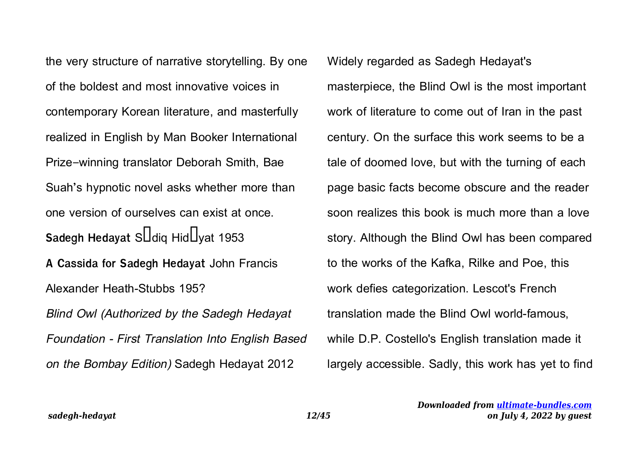the very structure of narrative storytelling. By one of the boldest and most innovative voices in contemporary Korean literature, and masterfully realized in English by Man Booker International Prize–winning translator Deborah Smith, Bae Suah's hypnotic novel asks whether more than one version of ourselves can exist at once. **Sadegh Hedayat S**Idiq Hid Uvat 1953 **A Cassida for Sadegh Hedayat** John Francis Alexander Heath-Stubbs 195? Blind Owl (Authorized by the Sadegh Hedayat Foundation - First Translation Into English Based on the Bombay Edition) Sadegh Hedayat 2012

Widely regarded as Sadegh Hedayat's masterpiece, the Blind Owl is the most important work of literature to come out of Iran in the past century. On the surface this work seems to be a tale of doomed love, but with the turning of each page basic facts become obscure and the reader soon realizes this book is much more than a love story. Although the Blind Owl has been compared to the works of the Kafka, Rilke and Poe, this work defies categorization. Lescot's French translation made the Blind Owl world-famous, while D.P. Costello's English translation made it largely accessible. Sadly, this work has yet to find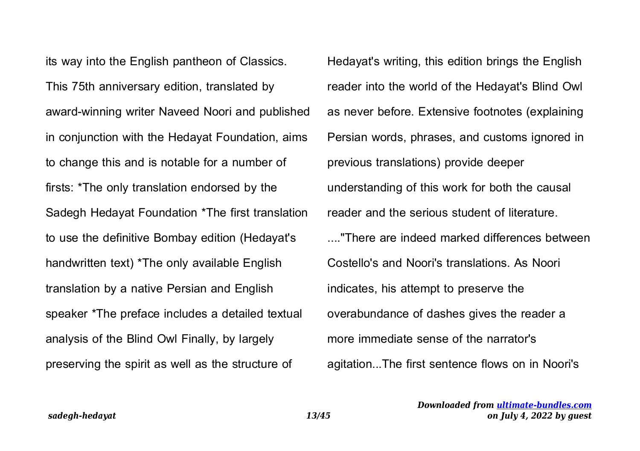its way into the English pantheon of Classics. This 75th anniversary edition, translated by award-winning writer Naveed Noori and published in conjunction with the Hedayat Foundation, aims to change this and is notable for a number of firsts: \*The only translation endorsed by the Sadegh Hedayat Foundation \*The first translation to use the definitive Bombay edition (Hedayat's handwritten text) \*The only available English translation by a native Persian and English speaker \*The preface includes a detailed textual analysis of the Blind Owl Finally, by largely preserving the spirit as well as the structure of

Hedayat's writing, this edition brings the English reader into the world of the Hedayat's Blind Owl as never before. Extensive footnotes (explaining Persian words, phrases, and customs ignored in previous translations) provide deeper understanding of this work for both the causal reader and the serious student of literature. ...."There are indeed marked differences between Costello's and Noori's translations. As Noori indicates, his attempt to preserve the overabundance of dashes gives the reader a more immediate sense of the narrator's agitation...The first sentence flows on in Noori's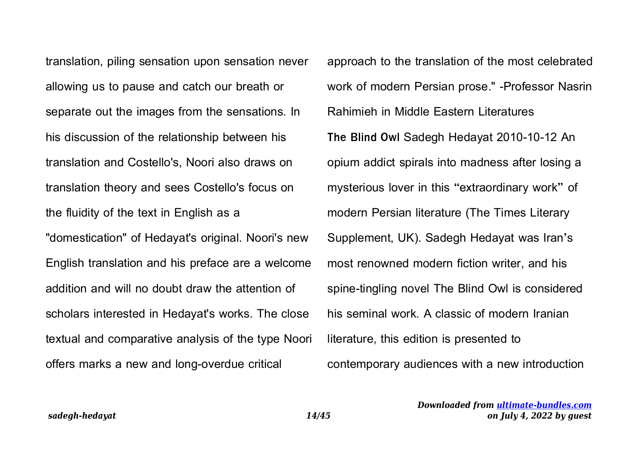translation, piling sensation upon sensation never allowing us to pause and catch our breath or separate out the images from the sensations. In his discussion of the relationship between his translation and Costello's, Noori also draws on translation theory and sees Costello's focus on the fluidity of the text in English as a "domestication" of Hedayat's original. Noori's new English translation and his preface are a welcome addition and will no doubt draw the attention of scholars interested in Hedayat's works. The close textual and comparative analysis of the type Noori offers marks a new and long-overdue critical

approach to the translation of the most celebrated work of modern Persian prose." -Professor Nasrin Rahimieh in Middle Eastern Literatures **The Blind Owl** Sadegh Hedayat 2010-10-12 An opium addict spirals into madness after losing a mysterious lover in this "extraordinary work" of modern Persian literature (The Times Literary Supplement, UK). Sadegh Hedayat was Iran's most renowned modern fiction writer, and his spine-tingling novel The Blind Owl is considered his seminal work. A classic of modern Iranian literature, this edition is presented to contemporary audiences with a new introduction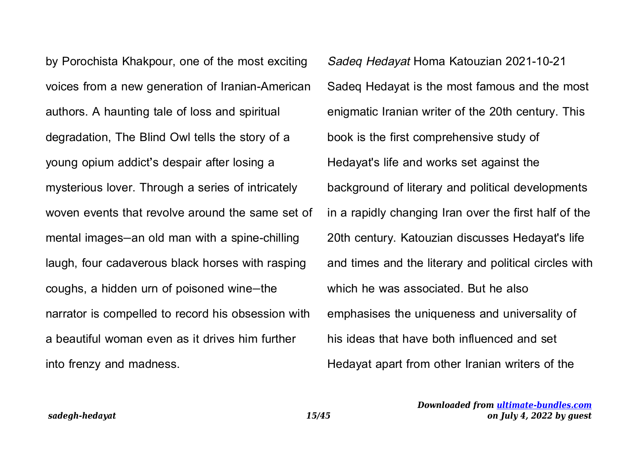by Porochista Khakpour, one of the most exciting voices from a new generation of Iranian-American authors. A haunting tale of loss and spiritual degradation, The Blind Owl tells the story of a young opium addict's despair after losing a mysterious lover. Through a series of intricately woven events that revolve around the same set of mental images—an old man with a spine-chilling laugh, four cadaverous black horses with rasping coughs, a hidden urn of poisoned wine—the narrator is compelled to record his obsession with a beautiful woman even as it drives him further into frenzy and madness.

Sadeq Hedayat Homa Katouzian 2021-10-21 Sadeq Hedayat is the most famous and the most enigmatic Iranian writer of the 20th century. This book is the first comprehensive study of Hedayat's life and works set against the background of literary and political developments in a rapidly changing Iran over the first half of the 20th century. Katouzian discusses Hedayat's life and times and the literary and political circles with which he was associated. But he also emphasises the uniqueness and universality of his ideas that have both influenced and set Hedayat apart from other Iranian writers of the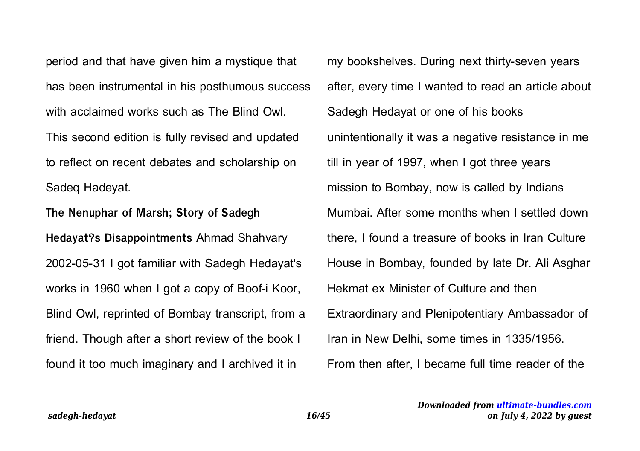period and that have given him a mystique that has been instrumental in his posthumous success with acclaimed works such as The Blind Owl. This second edition is fully revised and updated to reflect on recent debates and scholarship on Sadeq Hadeyat.

**The Nenuphar of Marsh; Story of Sadegh Hedayat?s Disappointments** Ahmad Shahvary 2002-05-31 I got familiar with Sadegh Hedayat's works in 1960 when I got a copy of Boof-i Koor, Blind Owl, reprinted of Bombay transcript, from a friend. Though after a short review of the book I found it too much imaginary and I archived it in

my bookshelves. During next thirty-seven years after, every time I wanted to read an article about Sadegh Hedayat or one of his books unintentionally it was a negative resistance in me till in year of 1997, when I got three years mission to Bombay, now is called by Indians Mumbai. After some months when I settled down there, I found a treasure of books in Iran Culture House in Bombay, founded by late Dr. Ali Asghar Hekmat ex Minister of Culture and then Extraordinary and Plenipotentiary Ambassador of Iran in New Delhi, some times in 1335/1956. From then after, I became full time reader of the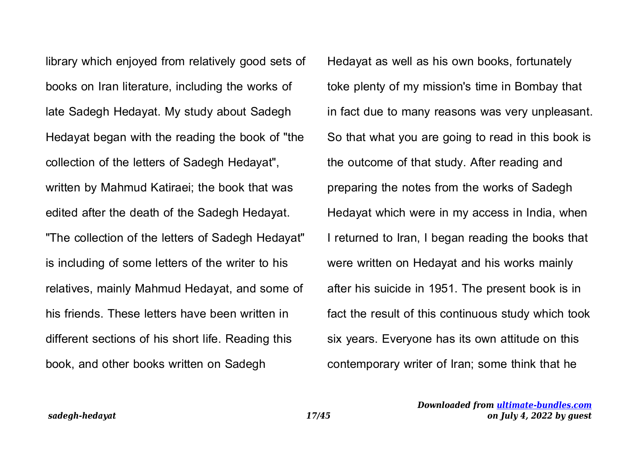library which enjoyed from relatively good sets of books on Iran literature, including the works of late Sadegh Hedayat. My study about Sadegh Hedayat began with the reading the book of "the collection of the letters of Sadegh Hedayat", written by Mahmud Katiraei; the book that was edited after the death of the Sadegh Hedayat. "The collection of the letters of Sadegh Hedayat" is including of some letters of the writer to his relatives, mainly Mahmud Hedayat, and some of his friends. These letters have been written in different sections of his short life. Reading this book, and other books written on Sadegh

Hedayat as well as his own books, fortunately toke plenty of my mission's time in Bombay that in fact due to many reasons was very unpleasant. So that what you are going to read in this book is the outcome of that study. After reading and preparing the notes from the works of Sadegh Hedayat which were in my access in India, when I returned to Iran, I began reading the books that were written on Hedayat and his works mainly after his suicide in 1951. The present book is in fact the result of this continuous study which took six years. Everyone has its own attitude on this contemporary writer of Iran; some think that he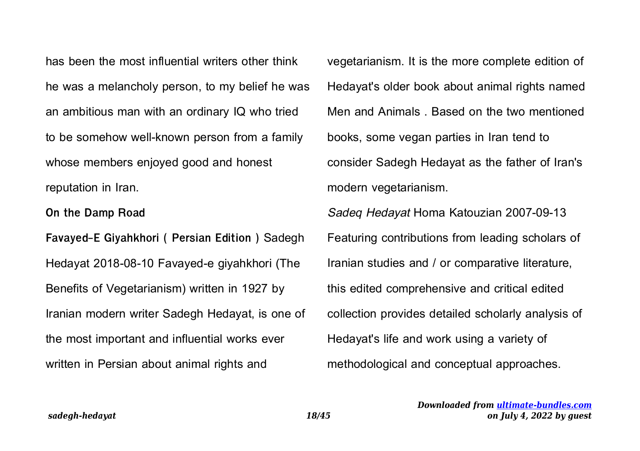has been the most influential writers other think he was a melancholy person, to my belief he was an ambitious man with an ordinary IQ who tried to be somehow well-known person from a family whose members enjoyed good and honest reputation in Iran.

**On the Damp Road**

**Favayed-E Giyahkhori ( Persian Edition )** Sadegh Hedayat 2018-08-10 Favayed-e giyahkhori (The Benefits of Vegetarianism) written in 1927 by Iranian modern writer Sadegh Hedayat, is one of the most important and influential works ever written in Persian about animal rights and

vegetarianism. It is the more complete edition of Hedayat's older book about animal rights named Men and Animals . Based on the two mentioned books, some vegan parties in Iran tend to consider Sadegh Hedayat as the father of Iran's modern vegetarianism.

Sadeq Hedayat Homa Katouzian 2007-09-13 Featuring contributions from leading scholars of Iranian studies and / or comparative literature, this edited comprehensive and critical edited collection provides detailed scholarly analysis of Hedayat's life and work using a variety of methodological and conceptual approaches.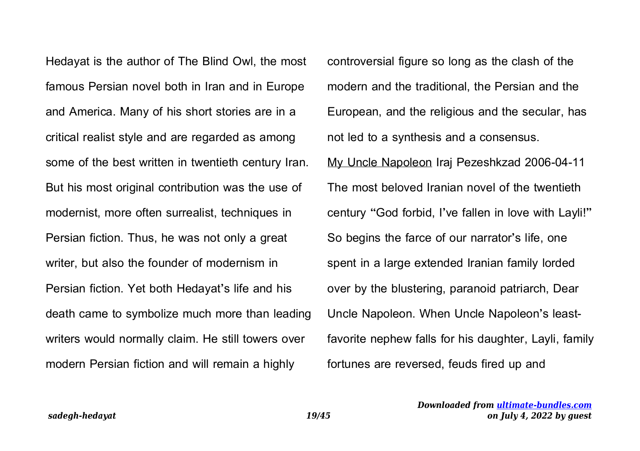Hedayat is the author of The Blind Owl, the most famous Persian novel both in Iran and in Europe and America. Many of his short stories are in a critical realist style and are regarded as among some of the best written in twentieth century Iran. But his most original contribution was the use of modernist, more often surrealist, techniques in Persian fiction. Thus, he was not only a great writer, but also the founder of modernism in Persian fiction. Yet both Hedayat's life and his death came to symbolize much more than leading writers would normally claim. He still towers over modern Persian fiction and will remain a highly

controversial figure so long as the clash of the modern and the traditional, the Persian and the European, and the religious and the secular, has not led to a synthesis and a consensus.

My Uncle Napoleon Iraj Pezeshkzad 2006-04-11 The most beloved Iranian novel of the twentieth century "God forbid, I've fallen in love with Layli!" So begins the farce of our narrator's life, one spent in a large extended Iranian family lorded over by the blustering, paranoid patriarch, Dear Uncle Napoleon. When Uncle Napoleon's leastfavorite nephew falls for his daughter, Layli, family fortunes are reversed, feuds fired up and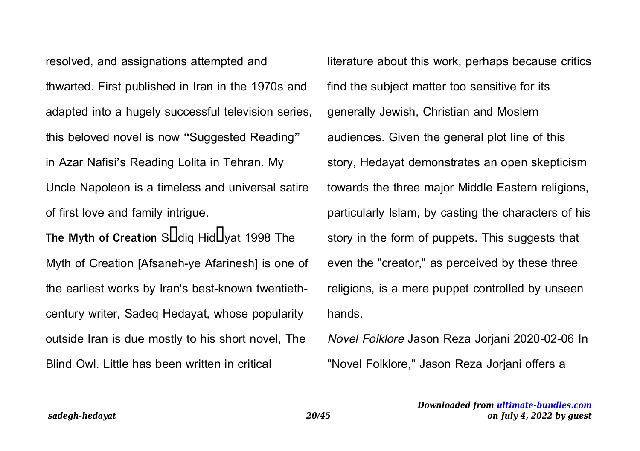resolved, and assignations attempted and thwarted. First published in Iran in the 1970s and adapted into a hugely successful television series, this beloved novel is now "Suggested Reading" in Azar Nafisi's Reading Lolita in Tehran. My Uncle Napoleon is a timeless and universal satire of first love and family intrigue. The Myth of Creation S**atiq Hid** Uvat 1998 The Myth of Creation [Afsaneh-ye Afarinesh] is one of the earliest works by Iran's best-known twentiethcentury writer, Sadeq Hedayat, whose popularity outside Iran is due mostly to his short novel, The Blind Owl. Little has been written in critical

literature about this work, perhaps because critics find the subject matter too sensitive for its generally Jewish, Christian and Moslem audiences. Given the general plot line of this story, Hedayat demonstrates an open skepticism towards the three major Middle Eastern religions, particularly Islam, by casting the characters of his story in the form of puppets. This suggests that even the "creator," as perceived by these three religions, is a mere puppet controlled by unseen hands.

Novel Folklore Jason Reza Jorjani 2020-02-06 In "Novel Folklore," Jason Reza Jorjani offers a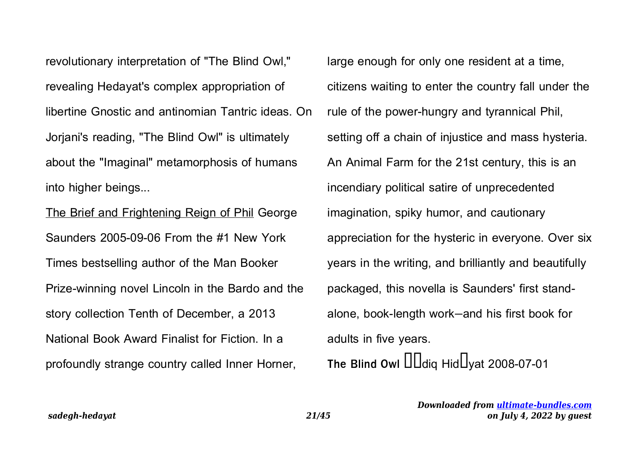revolutionary interpretation of "The Blind Owl," revealing Hedayat's complex appropriation of libertine Gnostic and antinomian Tantric ideas. On Jorjani's reading, "The Blind Owl" is ultimately about the "Imaginal" metamorphosis of humans into higher beings...

The Brief and Frightening Reign of Phil George Saunders 2005-09-06 From the #1 New York Times bestselling author of the Man Booker Prize-winning novel Lincoln in the Bardo and the story collection Tenth of December, a 2013 National Book Award Finalist for Fiction. In a profoundly strange country called Inner Horner,

large enough for only one resident at a time, citizens waiting to enter the country fall under the rule of the power-hungry and tyrannical Phil, setting off a chain of injustice and mass hysteria. An Animal Farm for the 21st century, this is an incendiary political satire of unprecedented imagination, spiky humor, and cautionary appreciation for the hysteric in everyone. Over six years in the writing, and brilliantly and beautifully packaged, this novella is Saunders' first standalone, book-length work—and his first book for adults in five years. The Blind Owl  $\text{III}$ diq Hid $\text{I}$ yat 2008-07-01

> *Downloaded from [ultimate-bundles.com](http://ultimate-bundles.com) on July 4, 2022 by guest*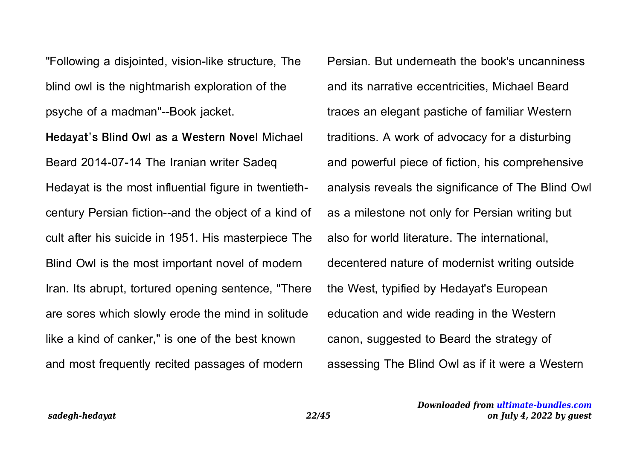"Following a disjointed, vision-like structure, The blind owl is the nightmarish exploration of the psyche of a madman"--Book jacket.

**Hedayat's Blind Owl as a Western Novel** Michael Beard 2014-07-14 The Iranian writer Sadeq Hedayat is the most influential figure in twentiethcentury Persian fiction--and the object of a kind of cult after his suicide in 1951. His masterpiece The Blind Owl is the most important novel of modern Iran. Its abrupt, tortured opening sentence, "There are sores which slowly erode the mind in solitude like a kind of canker," is one of the best known and most frequently recited passages of modern

Persian. But underneath the book's uncanniness and its narrative eccentricities, Michael Beard traces an elegant pastiche of familiar Western traditions. A work of advocacy for a disturbing and powerful piece of fiction, his comprehensive analysis reveals the significance of The Blind Owl as a milestone not only for Persian writing but also for world literature. The international, decentered nature of modernist writing outside the West, typified by Hedayat's European education and wide reading in the Western canon, suggested to Beard the strategy of assessing The Blind Owl as if it were a Western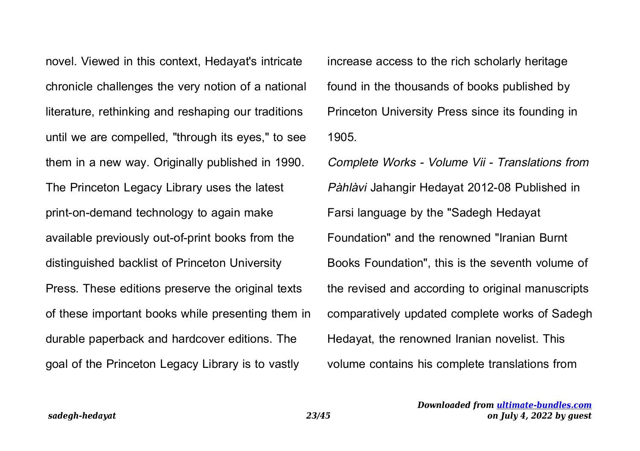novel. Viewed in this context, Hedayat's intricate chronicle challenges the very notion of a national literature, rethinking and reshaping our traditions until we are compelled, "through its eyes," to see them in a new way. Originally published in 1990. The Princeton Legacy Library uses the latest print-on-demand technology to again make available previously out-of-print books from the distinguished backlist of Princeton University Press. These editions preserve the original texts of these important books while presenting them in durable paperback and hardcover editions. The goal of the Princeton Legacy Library is to vastly

increase access to the rich scholarly heritage found in the thousands of books published by Princeton University Press since its founding in 1905.

Complete Works - Volume Vii - Translations from Pàhlàvi Jahangir Hedayat 2012-08 Published in Farsi language by the "Sadegh Hedayat Foundation" and the renowned "Iranian Burnt Books Foundation", this is the seventh volume of the revised and according to original manuscripts comparatively updated complete works of Sadegh Hedayat, the renowned Iranian novelist. This volume contains his complete translations from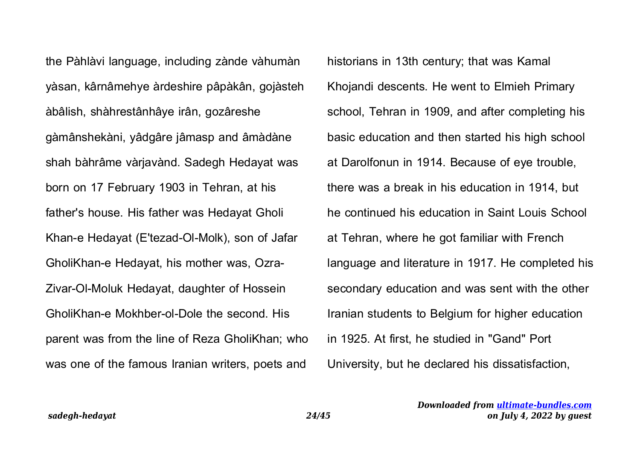the Pàhlàvi language, including zànde vàhumàn yàsan, kârnâmehye àrdeshire pâpàkân, gojàsteh àbâlish, shàhrestânhâye irân, gozâreshe gàmânshekàni, yâdgâre jâmasp and âmàdàne shah bàhrâme vàrjavànd. Sadegh Hedayat was born on 17 February 1903 in Tehran, at his father's house. His father was Hedayat Gholi Khan-e Hedayat (E'tezad-Ol-Molk), son of Jafar GholiKhan-e Hedayat, his mother was, Ozra-Zivar-Ol-Moluk Hedayat, daughter of Hossein GholiKhan-e Mokhber-ol-Dole the second. His parent was from the line of Reza GholiKhan; who was one of the famous Iranian writers, poets and

historians in 13th century; that was Kamal Khojandi descents. He went to Elmieh Primary school, Tehran in 1909, and after completing his basic education and then started his high school at Darolfonun in 1914. Because of eye trouble, there was a break in his education in 1914, but he continued his education in Saint Louis School at Tehran, where he got familiar with French language and literature in 1917. He completed his secondary education and was sent with the other Iranian students to Belgium for higher education in 1925. At first, he studied in "Gand" Port University, but he declared his dissatisfaction,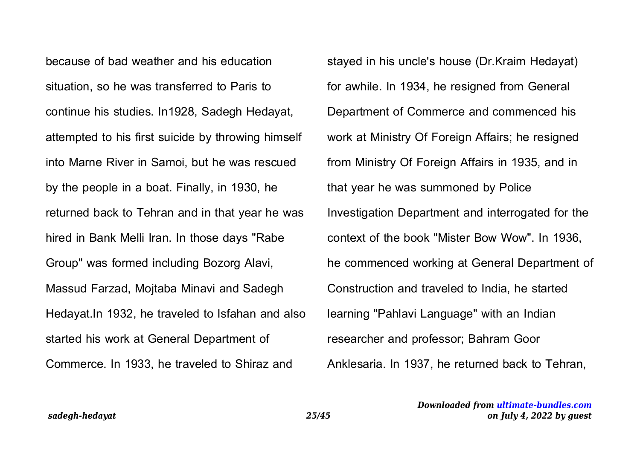because of bad weather and his education situation, so he was transferred to Paris to continue his studies. In1928, Sadegh Hedayat, attempted to his first suicide by throwing himself into Marne River in Samoi, but he was rescued by the people in a boat. Finally, in 1930, he returned back to Tehran and in that year he was hired in Bank Melli Iran. In those days "Rabe Group" was formed including Bozorg Alavi, Massud Farzad, Mojtaba Minavi and Sadegh Hedayat.In 1932, he traveled to Isfahan and also started his work at General Department of Commerce. In 1933, he traveled to Shiraz and

stayed in his uncle's house (Dr.Kraim Hedayat) for awhile. In 1934, he resigned from General Department of Commerce and commenced his work at Ministry Of Foreign Affairs; he resigned from Ministry Of Foreign Affairs in 1935, and in that year he was summoned by Police Investigation Department and interrogated for the context of the book "Mister Bow Wow". In 1936, he commenced working at General Department of Construction and traveled to India, he started learning "Pahlavi Language" with an Indian researcher and professor; Bahram Goor Anklesaria. In 1937, he returned back to Tehran,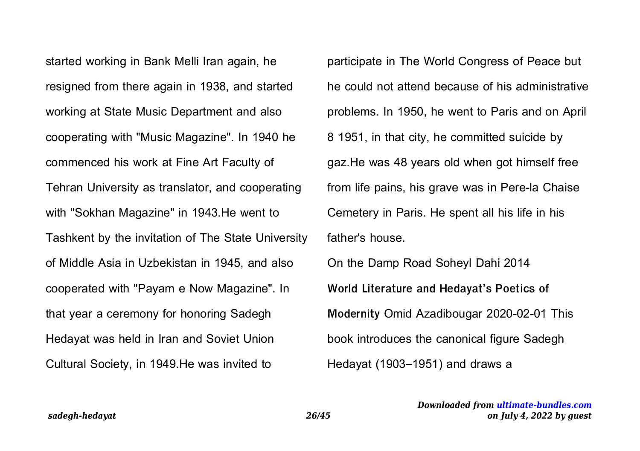started working in Bank Melli Iran again, he resigned from there again in 1938, and started working at State Music Department and also cooperating with "Music Magazine". In 1940 he commenced his work at Fine Art Faculty of Tehran University as translator, and cooperating with "Sokhan Magazine" in 1943.He went to Tashkent by the invitation of The State University of Middle Asia in Uzbekistan in 1945, and also cooperated with "Payam e Now Magazine". In that year a ceremony for honoring Sadegh Hedayat was held in Iran and Soviet Union Cultural Society, in 1949.He was invited to

participate in The World Congress of Peace but he could not attend because of his administrative problems. In 1950, he went to Paris and on April 8 1951, in that city, he committed suicide by gaz.He was 48 years old when got himself free from life pains, his grave was in Pere-la Chaise Cemetery in Paris. He spent all his life in his father's house.

On the Damp Road Soheyl Dahi 2014 **World Literature and Hedayat's Poetics of Modernity** Omid Azadibougar 2020-02-01 This book introduces the canonical figure Sadegh Hedayat (1903–1951) and draws a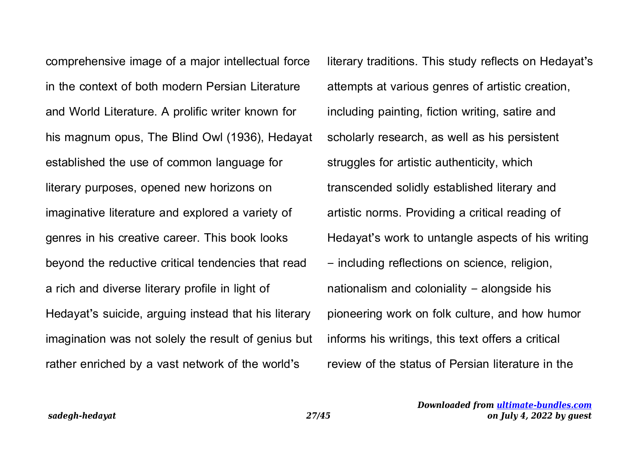comprehensive image of a major intellectual force in the context of both modern Persian Literature and World Literature. A prolific writer known for his magnum opus, The Blind Owl (1936), Hedayat established the use of common language for literary purposes, opened new horizons on imaginative literature and explored a variety of genres in his creative career. This book looks beyond the reductive critical tendencies that read a rich and diverse literary profile in light of Hedayat's suicide, arguing instead that his literary imagination was not solely the result of genius but rather enriched by a vast network of the world's

literary traditions. This study reflects on Hedayat's attempts at various genres of artistic creation, including painting, fiction writing, satire and scholarly research, as well as his persistent struggles for artistic authenticity, which transcended solidly established literary and artistic norms. Providing a critical reading of Hedayat's work to untangle aspects of his writing – including reflections on science, religion, nationalism and coloniality – alongside his pioneering work on folk culture, and how humor informs his writings, this text offers a critical review of the status of Persian literature in the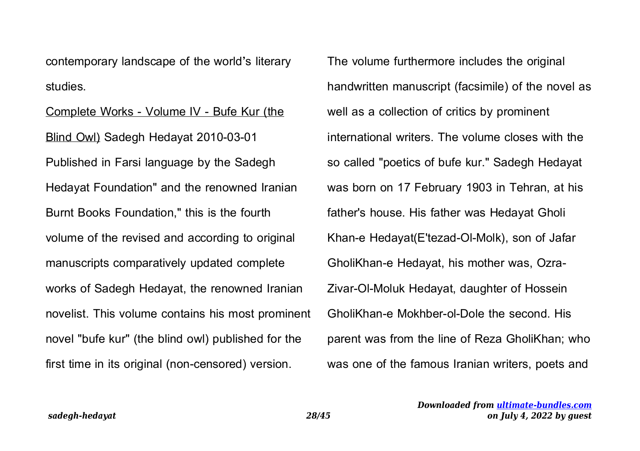contemporary landscape of the world's literary studies.

Complete Works - Volume IV - Bufe Kur (the Blind Owl) Sadegh Hedayat 2010-03-01 Published in Farsi language by the Sadegh Hedayat Foundation" and the renowned Iranian Burnt Books Foundation," this is the fourth volume of the revised and according to original manuscripts comparatively updated complete works of Sadegh Hedayat, the renowned Iranian novelist. This volume contains his most prominent novel "bufe kur" (the blind owl) published for the first time in its original (non-censored) version.

The volume furthermore includes the original handwritten manuscript (facsimile) of the novel as well as a collection of critics by prominent international writers. The volume closes with the so called "poetics of bufe kur." Sadegh Hedayat was born on 17 February 1903 in Tehran, at his father's house. His father was Hedayat Gholi Khan-e Hedayat(E'tezad-Ol-Molk), son of Jafar GholiKhan-e Hedayat, his mother was, Ozra-Zivar-Ol-Moluk Hedayat, daughter of Hossein GholiKhan-e Mokhber-ol-Dole the second. His parent was from the line of Reza GholiKhan; who was one of the famous Iranian writers, poets and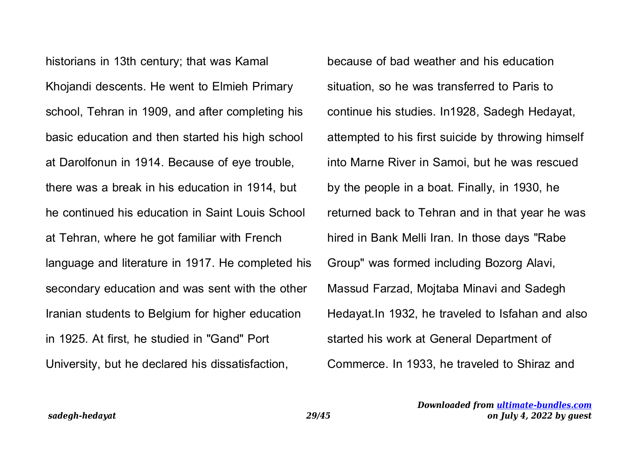historians in 13th century; that was Kamal Khojandi descents. He went to Elmieh Primary school, Tehran in 1909, and after completing his basic education and then started his high school at Darolfonun in 1914. Because of eye trouble, there was a break in his education in 1914, but he continued his education in Saint Louis School at Tehran, where he got familiar with French language and literature in 1917. He completed his secondary education and was sent with the other Iranian students to Belgium for higher education in 1925. At first, he studied in "Gand" Port University, but he declared his dissatisfaction,

because of bad weather and his education situation, so he was transferred to Paris to continue his studies. In1928, Sadegh Hedayat, attempted to his first suicide by throwing himself into Marne River in Samoi, but he was rescued by the people in a boat. Finally, in 1930, he returned back to Tehran and in that year he was hired in Bank Melli Iran. In those days "Rabe Group" was formed including Bozorg Alavi, Massud Farzad, Mojtaba Minavi and Sadegh Hedayat.In 1932, he traveled to Isfahan and also started his work at General Department of Commerce. In 1933, he traveled to Shiraz and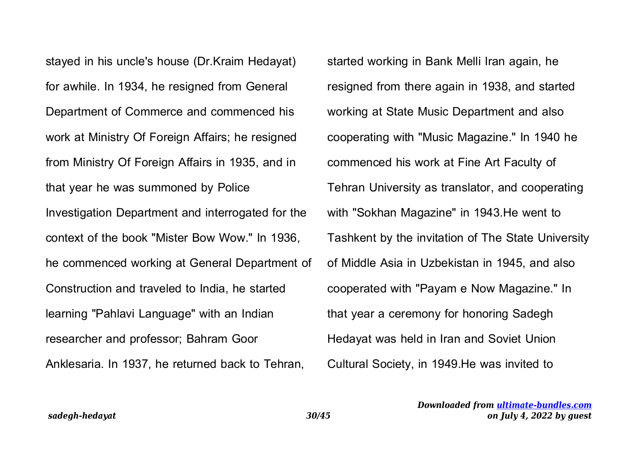stayed in his uncle's house (Dr.Kraim Hedayat) for awhile. In 1934, he resigned from General Department of Commerce and commenced his work at Ministry Of Foreign Affairs; he resigned from Ministry Of Foreign Affairs in 1935, and in that year he was summoned by Police Investigation Department and interrogated for the context of the book "Mister Bow Wow." In 1936, he commenced working at General Department of Construction and traveled to India, he started learning "Pahlavi Language" with an Indian researcher and professor; Bahram Goor Anklesaria. In 1937, he returned back to Tehran,

started working in Bank Melli Iran again, he resigned from there again in 1938, and started working at State Music Department and also cooperating with "Music Magazine." In 1940 he commenced his work at Fine Art Faculty of Tehran University as translator, and cooperating with "Sokhan Magazine" in 1943.He went to Tashkent by the invitation of The State University of Middle Asia in Uzbekistan in 1945, and also cooperated with "Payam e Now Magazine." In that year a ceremony for honoring Sadegh Hedayat was held in Iran and Soviet Union Cultural Society, in 1949.He was invited to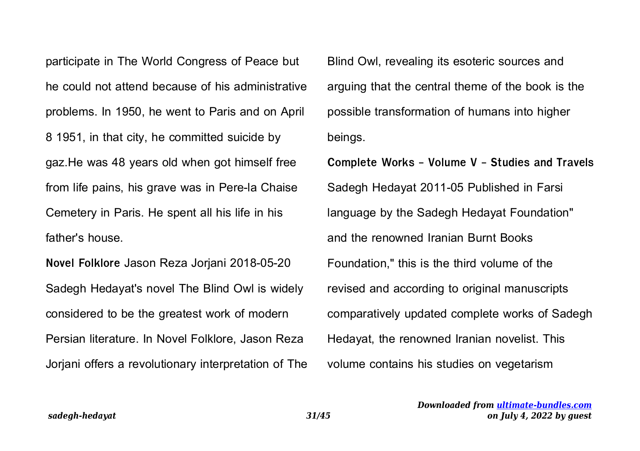participate in The World Congress of Peace but he could not attend because of his administrative problems. In 1950, he went to Paris and on April 8 1951, in that city, he committed suicide by gaz.He was 48 years old when got himself free from life pains, his grave was in Pere-la Chaise Cemetery in Paris. He spent all his life in his father's house.

**Novel Folklore** Jason Reza Jorjani 2018-05-20 Sadegh Hedayat's novel The Blind Owl is widely considered to be the greatest work of modern Persian literature. In Novel Folklore, Jason Reza Jorjani offers a revolutionary interpretation of The Blind Owl, revealing its esoteric sources and arguing that the central theme of the book is the possible transformation of humans into higher beings.

**Complete Works - Volume V - Studies and Travels** Sadegh Hedayat 2011-05 Published in Farsi language by the Sadegh Hedayat Foundation" and the renowned Iranian Burnt Books Foundation," this is the third volume of the revised and according to original manuscripts comparatively updated complete works of Sadegh Hedayat, the renowned Iranian novelist. This volume contains his studies on vegetarism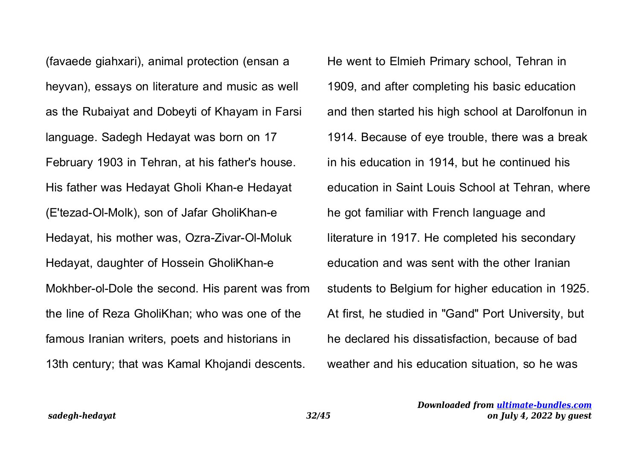(favaede giahxari), animal protection (ensan a heyvan), essays on literature and music as well as the Rubaiyat and Dobeyti of Khayam in Farsi language. Sadegh Hedayat was born on 17 February 1903 in Tehran, at his father's house. His father was Hedayat Gholi Khan-e Hedayat (E'tezad-Ol-Molk), son of Jafar GholiKhan-e Hedayat, his mother was, Ozra-Zivar-Ol-Moluk Hedayat, daughter of Hossein GholiKhan-e Mokhber-ol-Dole the second. His parent was from the line of Reza GholiKhan; who was one of the famous Iranian writers, poets and historians in 13th century; that was Kamal Khojandi descents.

He went to Elmieh Primary school, Tehran in 1909, and after completing his basic education and then started his high school at Darolfonun in 1914. Because of eye trouble, there was a break in his education in 1914, but he continued his education in Saint Louis School at Tehran, where he got familiar with French language and literature in 1917. He completed his secondary education and was sent with the other Iranian students to Belgium for higher education in 1925. At first, he studied in "Gand" Port University, but he declared his dissatisfaction, because of bad weather and his education situation, so he was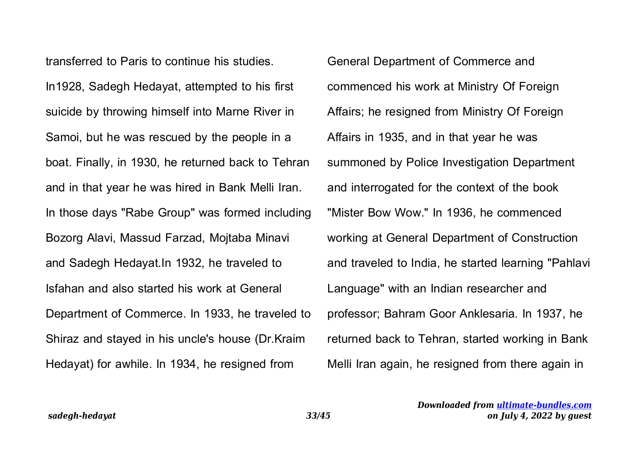transferred to Paris to continue his studies. In1928, Sadegh Hedayat, attempted to his first suicide by throwing himself into Marne River in Samoi, but he was rescued by the people in a boat. Finally, in 1930, he returned back to Tehran and in that year he was hired in Bank Melli Iran. In those days "Rabe Group" was formed including Bozorg Alavi, Massud Farzad, Mojtaba Minavi and Sadegh Hedayat.In 1932, he traveled to Isfahan and also started his work at General Department of Commerce. In 1933, he traveled to Shiraz and stayed in his uncle's house (Dr.Kraim Hedayat) for awhile. In 1934, he resigned from

General Department of Commerce and commenced his work at Ministry Of Foreign Affairs; he resigned from Ministry Of Foreign Affairs in 1935, and in that year he was summoned by Police Investigation Department and interrogated for the context of the book "Mister Bow Wow." In 1936, he commenced working at General Department of Construction and traveled to India, he started learning "Pahlavi Language" with an Indian researcher and professor; Bahram Goor Anklesaria. In 1937, he returned back to Tehran, started working in Bank Melli Iran again, he resigned from there again in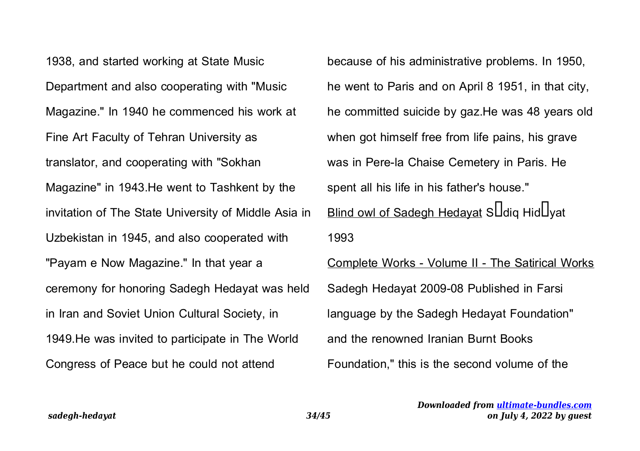1938, and started working at State Music Department and also cooperating with "Music Magazine." In 1940 he commenced his work at Fine Art Faculty of Tehran University as translator, and cooperating with "Sokhan Magazine" in 1943.He went to Tashkent by the invitation of The State University of Middle Asia in Uzbekistan in 1945, and also cooperated with "Payam e Now Magazine." In that year a ceremony for honoring Sadegh Hedayat was held in Iran and Soviet Union Cultural Society, in 1949.He was invited to participate in The World Congress of Peace but he could not attend

because of his administrative problems. In 1950, he went to Paris and on April 8 1951, in that city, he committed suicide by gaz.He was 48 years old when got himself free from life pains, his grave was in Pere-la Chaise Cemetery in Paris. He spent all his life in his father's house." Blind owl of Sadegh Hedayat S $\square$ diq Hid $\square$ vat 1993 Complete Works - Volume II - The Satirical Works Sadegh Hedayat 2009-08 Published in Farsi language by the Sadegh Hedayat Foundation" and the renowned Iranian Burnt Books Foundation," this is the second volume of the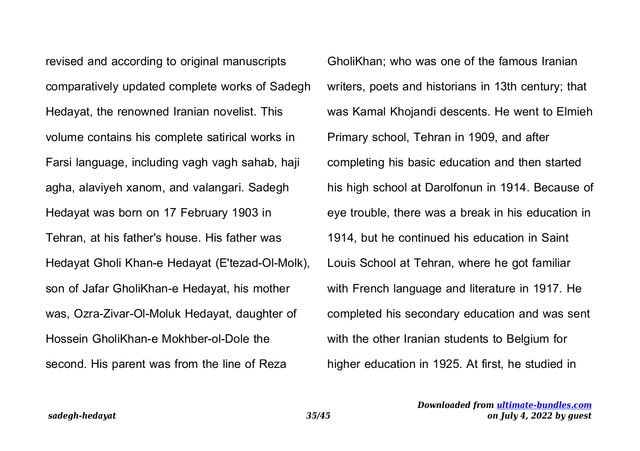revised and according to original manuscripts comparatively updated complete works of Sadegh Hedayat, the renowned Iranian novelist. This volume contains his complete satirical works in Farsi language, including vagh vagh sahab, haji agha, alaviyeh xanom, and valangari. Sadegh Hedayat was born on 17 February 1903 in Tehran, at his father's house. His father was Hedayat Gholi Khan-e Hedayat (E'tezad-Ol-Molk), son of Jafar GholiKhan-e Hedayat, his mother was, Ozra-Zivar-Ol-Moluk Hedayat, daughter of Hossein GholiKhan-e Mokhber-ol-Dole the second. His parent was from the line of Reza

GholiKhan; who was one of the famous Iranian writers, poets and historians in 13th century; that was Kamal Khojandi descents. He went to Elmieh Primary school, Tehran in 1909, and after completing his basic education and then started his high school at Darolfonun in 1914. Because of eye trouble, there was a break in his education in 1914, but he continued his education in Saint Louis School at Tehran, where he got familiar with French language and literature in 1917. He completed his secondary education and was sent with the other Iranian students to Belgium for higher education in 1925. At first, he studied in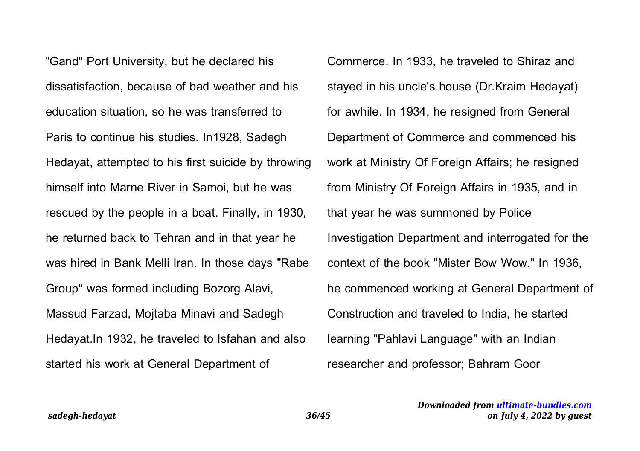"Gand" Port University, but he declared his dissatisfaction, because of bad weather and his education situation, so he was transferred to Paris to continue his studies. In1928, Sadegh Hedayat, attempted to his first suicide by throwing himself into Marne River in Samoi, but he was rescued by the people in a boat. Finally, in 1930, he returned back to Tehran and in that year he was hired in Bank Melli Iran. In those days "Rabe Group" was formed including Bozorg Alavi, Massud Farzad, Mojtaba Minavi and Sadegh Hedayat.In 1932, he traveled to Isfahan and also started his work at General Department of

Commerce. In 1933, he traveled to Shiraz and stayed in his uncle's house (Dr.Kraim Hedayat) for awhile. In 1934, he resigned from General Department of Commerce and commenced his work at Ministry Of Foreign Affairs; he resigned from Ministry Of Foreign Affairs in 1935, and in that year he was summoned by Police Investigation Department and interrogated for the context of the book "Mister Bow Wow." In 1936, he commenced working at General Department of Construction and traveled to India, he started learning "Pahlavi Language" with an Indian researcher and professor; Bahram Goor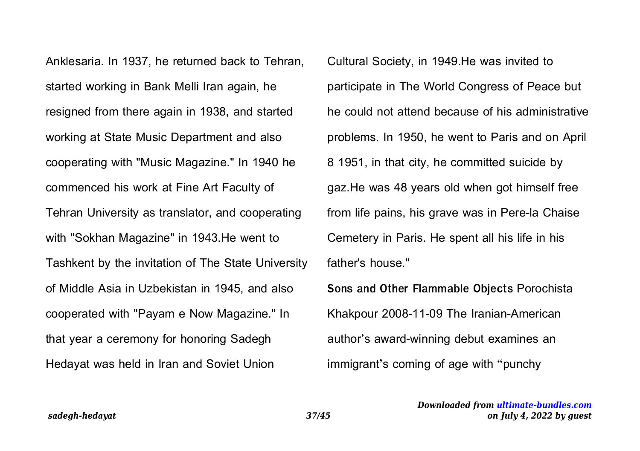Anklesaria. In 1937, he returned back to Tehran, started working in Bank Melli Iran again, he resigned from there again in 1938, and started working at State Music Department and also cooperating with "Music Magazine." In 1940 he commenced his work at Fine Art Faculty of Tehran University as translator, and cooperating with "Sokhan Magazine" in 1943.He went to Tashkent by the invitation of The State University of Middle Asia in Uzbekistan in 1945, and also cooperated with "Payam e Now Magazine." In that year a ceremony for honoring Sadegh Hedayat was held in Iran and Soviet Union

Cultural Society, in 1949.He was invited to participate in The World Congress of Peace but he could not attend because of his administrative problems. In 1950, he went to Paris and on April 8 1951, in that city, he committed suicide by gaz.He was 48 years old when got himself free from life pains, his grave was in Pere-la Chaise Cemetery in Paris. He spent all his life in his father's house."

**Sons and Other Flammable Objects** Porochista Khakpour 2008-11-09 The Iranian-American author's award-winning debut examines an immigrant's coming of age with "punchy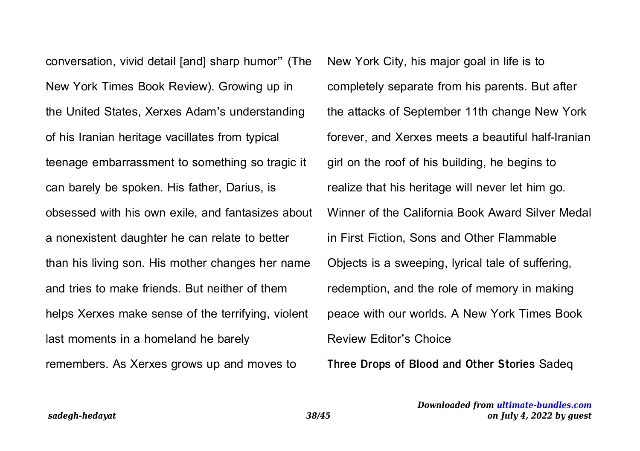conversation, vivid detail [and] sharp humor" (The New York Times Book Review). Growing up in the United States, Xerxes Adam's understanding of his Iranian heritage vacillates from typical teenage embarrassment to something so tragic it can barely be spoken. His father, Darius, is obsessed with his own exile, and fantasizes about a nonexistent daughter he can relate to better than his living son. His mother changes her name and tries to make friends. But neither of them helps Xerxes make sense of the terrifying, violent last moments in a homeland he barely remembers. As Xerxes grows up and moves to

New York City, his major goal in life is to completely separate from his parents. But after the attacks of September 11th change New York forever, and Xerxes meets a beautiful half-Iranian girl on the roof of his building, he begins to realize that his heritage will never let him go. Winner of the California Book Award Silver Medal in First Fiction, Sons and Other Flammable Objects is a sweeping, lyrical tale of suffering, redemption, and the role of memory in making peace with our worlds. A New York Times Book Review Editor's Choice

**Three Drops of Blood and Other Stories** Sadeq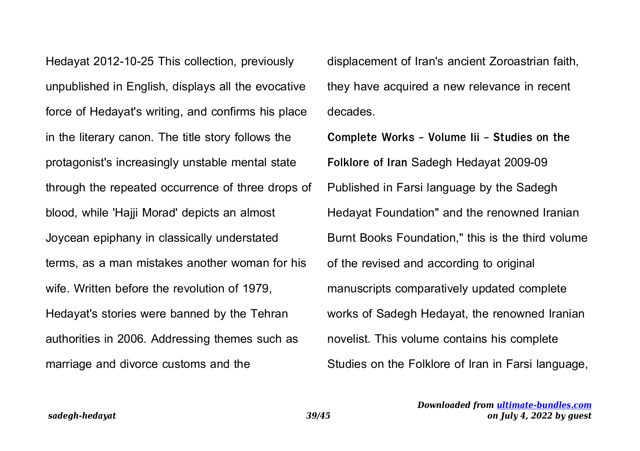Hedayat 2012-10-25 This collection, previously unpublished in English, displays all the evocative force of Hedayat's writing, and confirms his place in the literary canon. The title story follows the protagonist's increasingly unstable mental state through the repeated occurrence of three drops of blood, while 'Hajji Morad' depicts an almost Joycean epiphany in classically understated terms, as a man mistakes another woman for his wife. Written before the revolution of 1979, Hedayat's stories were banned by the Tehran authorities in 2006. Addressing themes such as marriage and divorce customs and the

displacement of Iran's ancient Zoroastrian faith, they have acquired a new relevance in recent decades.

**Complete Works - Volume Iii - Studies on the Folklore of Iran** Sadegh Hedayat 2009-09 Published in Farsi language by the Sadegh Hedayat Foundation" and the renowned Iranian Burnt Books Foundation," this is the third volume of the revised and according to original manuscripts comparatively updated complete works of Sadegh Hedayat, the renowned Iranian novelist. This volume contains his complete Studies on the Folklore of Iran in Farsi language,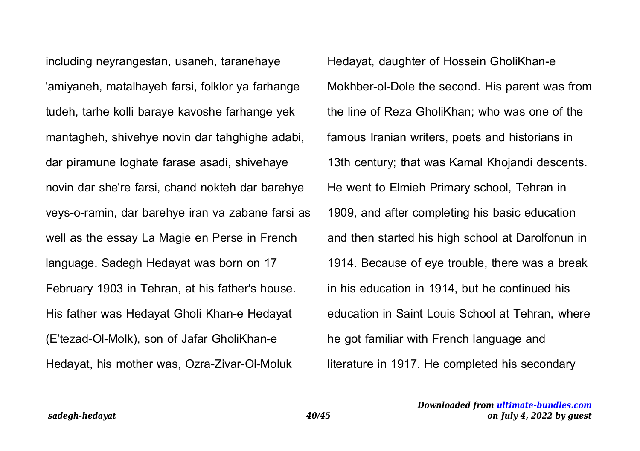including neyrangestan, usaneh, taranehaye 'amiyaneh, matalhayeh farsi, folklor ya farhange tudeh, tarhe kolli baraye kavoshe farhange yek mantagheh, shivehye novin dar tahghighe adabi, dar piramune loghate farase asadi, shivehaye novin dar she're farsi, chand nokteh dar barehye veys-o-ramin, dar barehye iran va zabane farsi as well as the essay La Magie en Perse in French language. Sadegh Hedayat was born on 17 February 1903 in Tehran, at his father's house. His father was Hedayat Gholi Khan-e Hedayat (E'tezad-Ol-Molk), son of Jafar GholiKhan-e Hedayat, his mother was, Ozra-Zivar-Ol-Moluk

Hedayat, daughter of Hossein GholiKhan-e Mokhber-ol-Dole the second. His parent was from the line of Reza GholiKhan; who was one of the famous Iranian writers, poets and historians in 13th century; that was Kamal Khojandi descents. He went to Elmieh Primary school, Tehran in 1909, and after completing his basic education and then started his high school at Darolfonun in 1914. Because of eye trouble, there was a break in his education in 1914, but he continued his education in Saint Louis School at Tehran, where he got familiar with French language and literature in 1917. He completed his secondary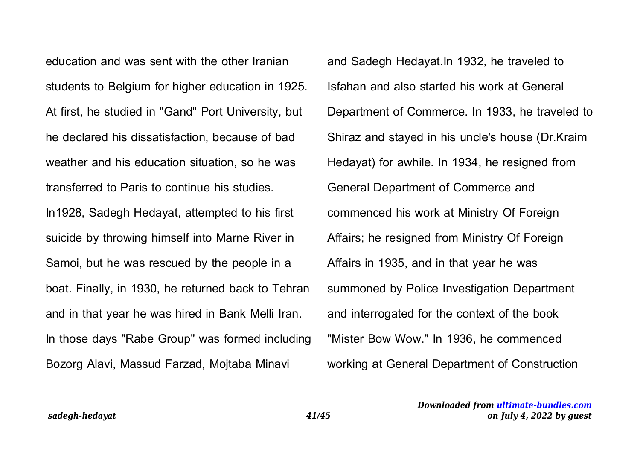education and was sent with the other Iranian students to Belgium for higher education in 1925. At first, he studied in "Gand" Port University, but he declared his dissatisfaction, because of bad weather and his education situation, so he was transferred to Paris to continue his studies. In1928, Sadegh Hedayat, attempted to his first suicide by throwing himself into Marne River in Samoi, but he was rescued by the people in a boat. Finally, in 1930, he returned back to Tehran and in that year he was hired in Bank Melli Iran. In those days "Rabe Group" was formed including Bozorg Alavi, Massud Farzad, Mojtaba Minavi

and Sadegh Hedayat.In 1932, he traveled to Isfahan and also started his work at General Department of Commerce. In 1933, he traveled to Shiraz and stayed in his uncle's house (Dr.Kraim Hedayat) for awhile. In 1934, he resigned from General Department of Commerce and commenced his work at Ministry Of Foreign Affairs; he resigned from Ministry Of Foreign Affairs in 1935, and in that year he was summoned by Police Investigation Department and interrogated for the context of the book "Mister Bow Wow." In 1936, he commenced working at General Department of Construction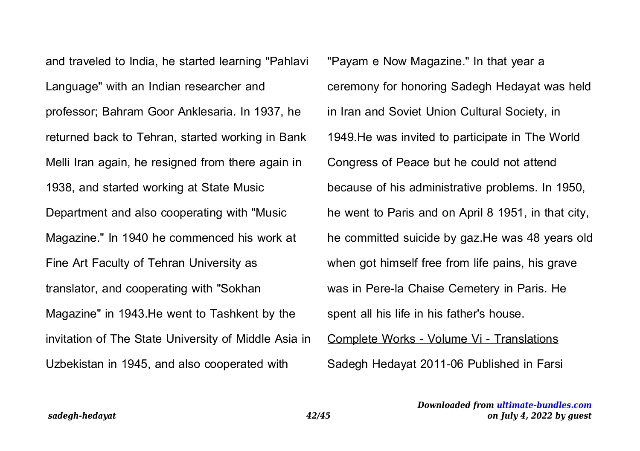and traveled to India, he started learning "Pahlavi Language" with an Indian researcher and professor; Bahram Goor Anklesaria. In 1937, he returned back to Tehran, started working in Bank Melli Iran again, he resigned from there again in 1938, and started working at State Music Department and also cooperating with "Music Magazine." In 1940 he commenced his work at Fine Art Faculty of Tehran University as translator, and cooperating with "Sokhan Magazine" in 1943.He went to Tashkent by the invitation of The State University of Middle Asia in Uzbekistan in 1945, and also cooperated with

"Payam e Now Magazine." In that year a ceremony for honoring Sadegh Hedayat was held in Iran and Soviet Union Cultural Society, in 1949.He was invited to participate in The World Congress of Peace but he could not attend because of his administrative problems. In 1950, he went to Paris and on April 8 1951, in that city, he committed suicide by gaz.He was 48 years old when got himself free from life pains, his grave was in Pere-la Chaise Cemetery in Paris. He spent all his life in his father's house. Complete Works - Volume Vi - Translations Sadegh Hedayat 2011-06 Published in Farsi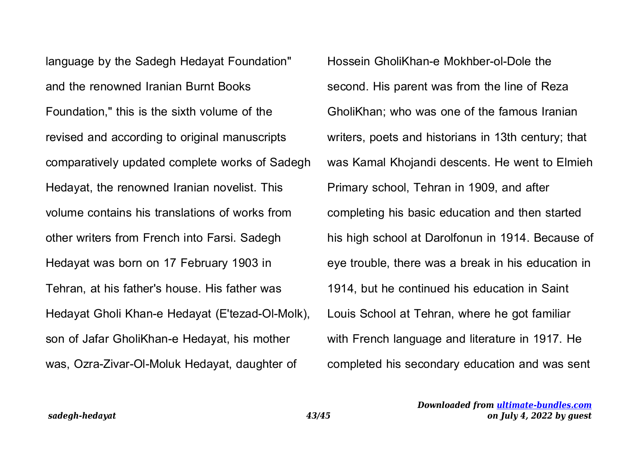language by the Sadegh Hedayat Foundation" and the renowned Iranian Burnt Books Foundation," this is the sixth volume of the revised and according to original manuscripts comparatively updated complete works of Sadegh Hedayat, the renowned Iranian novelist. This volume contains his translations of works from other writers from French into Farsi. Sadegh Hedayat was born on 17 February 1903 in Tehran, at his father's house. His father was Hedayat Gholi Khan-e Hedayat (E'tezad-Ol-Molk), son of Jafar GholiKhan-e Hedayat, his mother was, Ozra-Zivar-Ol-Moluk Hedayat, daughter of

Hossein GholiKhan-e Mokhber-ol-Dole the second. His parent was from the line of Reza GholiKhan; who was one of the famous Iranian writers, poets and historians in 13th century; that was Kamal Khojandi descents. He went to Elmieh Primary school, Tehran in 1909, and after completing his basic education and then started his high school at Darolfonun in 1914. Because of eye trouble, there was a break in his education in 1914, but he continued his education in Saint Louis School at Tehran, where he got familiar with French language and literature in 1917. He completed his secondary education and was sent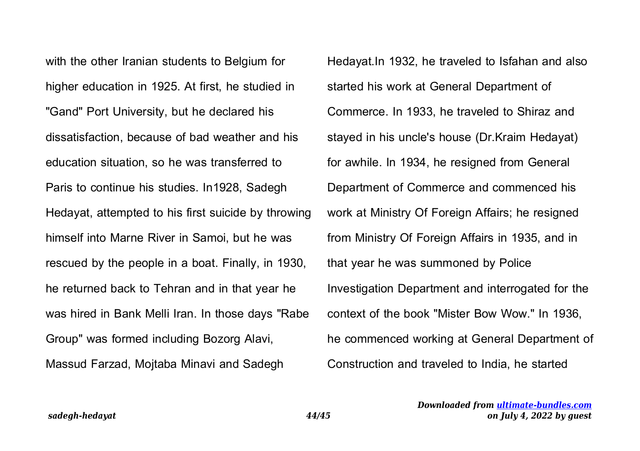with the other Iranian students to Belgium for higher education in 1925. At first, he studied in "Gand" Port University, but he declared his dissatisfaction, because of bad weather and his education situation, so he was transferred to Paris to continue his studies. In1928, Sadegh Hedayat, attempted to his first suicide by throwing himself into Marne River in Samoi, but he was rescued by the people in a boat. Finally, in 1930, he returned back to Tehran and in that year he was hired in Bank Melli Iran. In those days "Rabe Group" was formed including Bozorg Alavi, Massud Farzad, Mojtaba Minavi and Sadegh

Hedayat.In 1932, he traveled to Isfahan and also started his work at General Department of Commerce. In 1933, he traveled to Shiraz and stayed in his uncle's house (Dr.Kraim Hedayat) for awhile. In 1934, he resigned from General Department of Commerce and commenced his work at Ministry Of Foreign Affairs; he resigned from Ministry Of Foreign Affairs in 1935, and in that year he was summoned by Police Investigation Department and interrogated for the context of the book "Mister Bow Wow." In 1936, he commenced working at General Department of Construction and traveled to India, he started